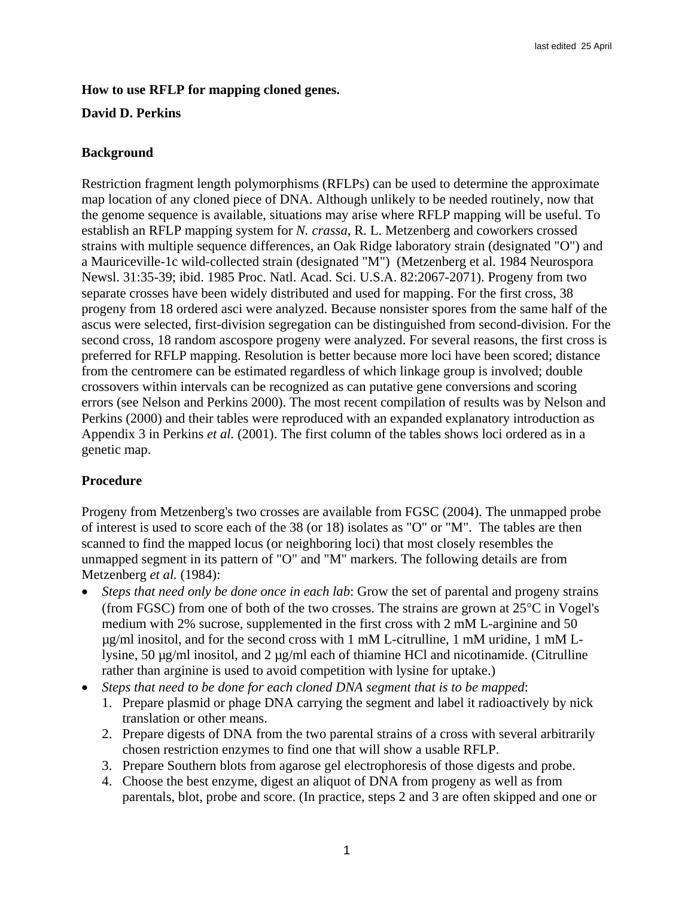## **How to use RFLP for mapping cloned genes.**

## **David D. Perkins**

## **Background**

Restriction fragment length polymorphisms (RFLPs) can be used to determine the approximate map location of any cloned piece of DNA. Although unlikely to be needed routinely, now that the genome sequence is available, situations may arise where RFLP mapping will be useful. To establish an RFLP mapping system for *N. crassa*, R. L. Metzenberg and coworkers crossed strains with multiple sequence differences, an Oak Ridge laboratory strain (designated "O") and a Mauriceville-1c wild-collected strain (designated "M") (Metzenberg et al. 1984 Neurospora Newsl. 31:35-39; ibid. 1985 Proc. Natl. Acad. Sci. U.S.A. 82:2067-2071). Progeny from two separate crosses have been widely distributed and used for mapping. For the first cross, 38 progeny from 18 ordered asci were analyzed. Because nonsister spores from the same half of the ascus were selected, first-division segregation can be distinguished from second-division. For the second cross, 18 random ascospore progeny were analyzed. For several reasons, the first cross is preferred for RFLP mapping. Resolution is better because more loci have been scored; distance from the centromere can be estimated regardless of which linkage group is involved; double crossovers within intervals can be recognized as can putative gene conversions and scoring errors (see Nelson and Perkins 2000). The most recent compilation of results was by Nelson and Perkins (2000) and their tables were reproduced with an expanded explanatory introduction as Appendix 3 in Perkins *et al.* (2001). The first column of the tables shows loci ordered as in a genetic map.

# **Procedure**

Progeny from Metzenberg's two crosses are available from FGSC (2004). The unmapped probe of interest is used to score each of the 38 (or 18) isolates as "O" or "M". The tables are then scanned to find the mapped locus (or neighboring loci) that most closely resembles the unmapped segment in its pattern of "O" and "M" markers. The following details are from Metzenberg *et al.* (1984):

- *Steps that need only be done once in each lab*: Grow the set of parental and progeny strains (from FGSC) from one of both of the two crosses. The strains are grown at 25°C in Vogel's medium with 2% sucrose, supplemented in the first cross with 2 mM L-arginine and 50  $\mu$ g/ml inositol, and for the second cross with 1 mM L-citrulline, 1 mM uridine, 1 mM Llysine, 50 µg/ml inositol, and 2 µg/ml each of thiamine HCl and nicotinamide. (Citrulline rather than arginine is used to avoid competition with lysine for uptake.)
- *Steps that need to be done for each cloned DNA segment that is to be mapped*:
	- 1. Prepare plasmid or phage DNA carrying the segment and label it radioactively by nick translation or other means.
	- 2. Prepare digests of DNA from the two parental strains of a cross with several arbitrarily chosen restriction enzymes to find one that will show a usable RFLP.
	- 3. Prepare Southern blots from agarose gel electrophoresis of those digests and probe.
	- 4. Choose the best enzyme, digest an aliquot of DNA from progeny as well as from parentals, blot, probe and score. (In practice, steps 2 and 3 are often skipped and one or